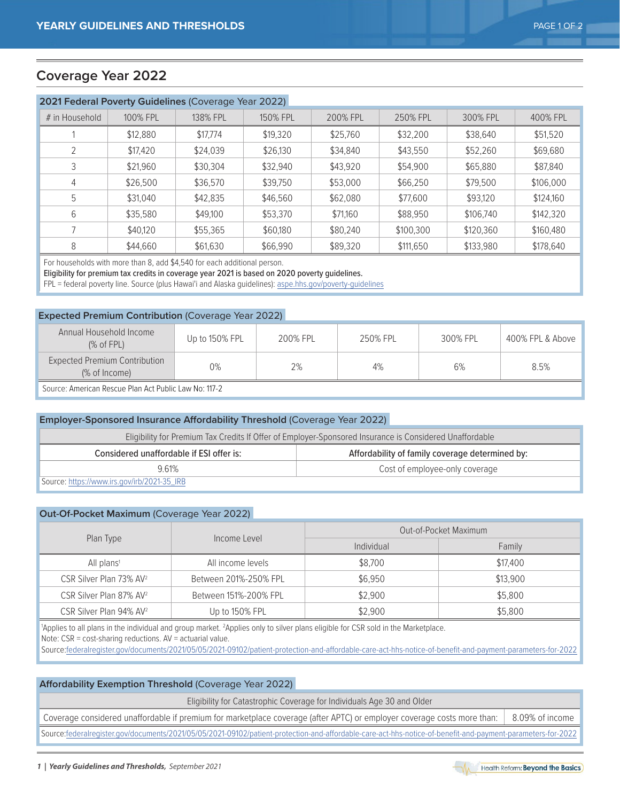## **Coverage Year 2022**

| 2021 Federal Poverty Guidelines (Coverage Year 2022) |          |          |          |          |           |           |           |  |  |
|------------------------------------------------------|----------|----------|----------|----------|-----------|-----------|-----------|--|--|
| # in Household                                       | 100% FPL | 138% FPL | 150% FPL | 200% FPL | 250% FPL  | 300% FPL  | 400% FPL  |  |  |
|                                                      | \$12,880 | \$17,774 | \$19,320 | \$25,760 | \$32,200  | \$38,640  | \$51,520  |  |  |
|                                                      | \$17,420 | \$24,039 | \$26,130 | \$34,840 | \$43,550  | \$52,260  | \$69,680  |  |  |
| 3                                                    | \$21,960 | \$30.304 | \$32,940 | \$43,920 | \$54,900  | \$65,880  | \$87,840  |  |  |
| $\overline{4}$                                       | \$26,500 | \$36,570 | \$39.750 | \$53,000 | \$66,250  | \$79,500  | \$106,000 |  |  |
| 5                                                    | \$31,040 | \$42,835 | \$46,560 | \$62,080 | \$77,600  | \$93,120  | \$124,160 |  |  |
| 6                                                    | \$35,580 | \$49,100 | \$53,370 | \$71.160 | \$88,950  | \$106,740 | \$142,320 |  |  |
|                                                      | \$40,120 | \$55,365 | \$60,180 | \$80,240 | \$100,300 | \$120,360 | \$160,480 |  |  |
| 8                                                    | \$44,660 | \$61,630 | \$66,990 | \$89,320 | \$111,650 | \$133,980 | \$178,640 |  |  |

For households with more than 8, add \$4,540 for each additional person.

Eligibility for premium tax credits in coverage year 2021 is based on 2020 poverty guidelines.

FPL = federal poverty line. Source (plus Hawai'i and Alaska guidelines): [aspe.hhs.gov/poverty-guidelines](https://aspe.hhs.gov/topics/poverty-economic-mobility/poverty-guidelines)

### **Expected Premium Contribution** (Coverage Year 2022)

| Annual Household Income<br>(% of FPL)                 | Up to 150% FPL | 200% FPL | 250% FPI | 300% FPL | 400% FPL & Above |  |  |
|-------------------------------------------------------|----------------|----------|----------|----------|------------------|--|--|
| Expected Premium Contribution<br>(% of Income)        | 0%             | 2%       | 4%       | 6%       | 8.5%             |  |  |
| Source: American Rescue Plan Act Public Law No: 117-2 |                |          |          |          |                  |  |  |

| <b>Employer-Sponsored Insurance Affordability Threshold (Coverage Year 2022)</b>                        |  |  |  |  |  |  |  |
|---------------------------------------------------------------------------------------------------------|--|--|--|--|--|--|--|
| Eligibility for Premium Tax Credits If Offer of Employer-Sponsored Insurance is Considered Unaffordable |  |  |  |  |  |  |  |
| Considered unaffordable if ESI offer is:<br>Affordability of family coverage determined by:             |  |  |  |  |  |  |  |
| Cost of employee-only coverage<br>961%                                                                  |  |  |  |  |  |  |  |
| Source: https://www.irs.gov/irb/2021-35_IRB                                                             |  |  |  |  |  |  |  |

#### **Out-Of-Pocket Maximum** (Coverage Year 2022)

|                                     |                       | Out-of-Pocket Maximum |          |  |  |
|-------------------------------------|-----------------------|-----------------------|----------|--|--|
| Plan Type                           | Income Level          | Individual            | Family   |  |  |
| All plans <sup>1</sup>              | All income levels     | \$8,700               | \$17,400 |  |  |
| CSR Silver Plan 73% AV <sup>2</sup> | Between 201%-250% FPL | \$6,950               | \$13,900 |  |  |
| CSR Silver Plan 87% AV <sup>2</sup> | Between 151%-200% FPL | \$2,900               | \$5,800  |  |  |
| CSR Silver Plan 94% AV <sup>2</sup> | Up to 150% FPL        | \$2,900               | \$5,800  |  |  |

'Applies to all plans in the individual and group market. <sup>2</sup>Applies only to silver plans eligible for CSR sold in the Marketplace.

Note: CSR = cost-sharing reductions. AV = actuarial value.

Source[:federalregister.gov/documents/2021/05/05/2021-09102/patient-protection-and-affordable-care-act-hhs-notice-of-benefit-and-payment-parameters-for-2022](https://www.federalregister.gov/documents/2021/05/05/2021-09102/patient-protection-and-affordable-care-act-hhs-notice-of-benefit-and-payment-parameters-for-2022-and)

### **Affordability Exemption Threshold** (Coverage Year 2022)

Eligibility for Catastrophic Coverage for Individuals Age 30 and Older

Coverage considered unaffordable if premium for marketplace coverage (after APTC) or employer coverage costs more than: 8.09% of income

Sourc[e:federalregister.gov/documents/2021/05/05/2021-09102/patient-protection-and-affordable-care-act-hhs-notice-of-benefit-and-payment-parameters-for-2022](https://www.federalregister.gov/documents/2021/05/05/2021-09102/patient-protection-and-affordable-care-act-hhs-notice-of-benefit-and-payment-parameters-for-2022-and)